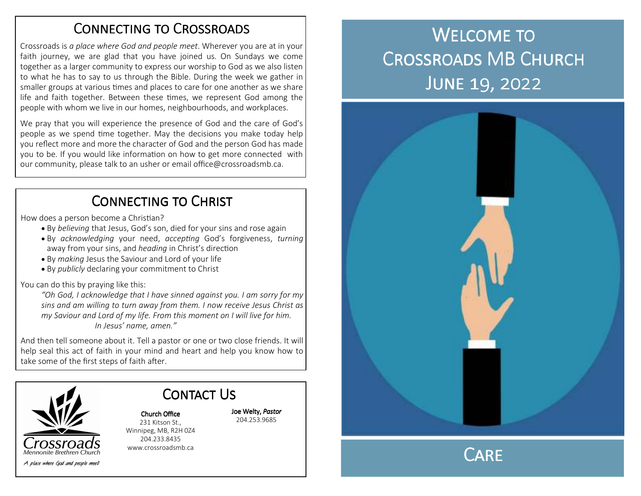## CONNECTING TO CROSSROADS

Crossroads is *a place where God and people meet*. Wherever you are at in your faith journey, we are glad that you have joined us. On Sundays we come together as a larger community to express our worship to God as we also listen to what he has to say to us through the Bible. During the week we gather in smaller groups at various times and places to care for one another as we share life and faith together. Between these times, we represent God among the people with whom we live in our homes, neighbourhoods, and workplaces.

We pray that you will experience the presence of God and the care of God's people as we spend time together. May the decisions you make today help you reflect more and more the character of God and the person God has made you to be. If you would like information on how to get more connected with our community, please talk to an usher or email office@crossroadsmb.ca.

# CONNECTING TO CHRIST

How does a person become a Christian?

- By *believing* that Jesus, God's son, died for your sins and rose again
- By *acknowledging* your need, *accepting* God's forgiveness, *turning* away from your sins, and *heading* in Christ's direction
- By *making* Jesus the Saviour and Lord of your life
- By *publicly* declaring your commitment to Christ

You can do this by praying like this:

*"Oh God, I acknowledge that I have sinned against you. I am sorry for my sins and am willing to turn away from them. I now receive Jesus Christ as my Saviour and Lord of my life. From this moment on I will live for him. In Jesus' name, amen."* 

And then tell someone about it. Tell a pastor or one or two close friends. It will help seal this act of faith in your mind and heart and help you know how to take some of the first steps of faith after.



Contact Us Church Office

Joe Welty, *Pastor*204.253.9685

 231 Kitson St., Winnipeg, MB, R2H 0Z4 204.233.8435 www.crossroadsmb.ca

# WELCOME TO CROSSROADS MB CHURCH JUNE 19, 2022





A place where God and people meet